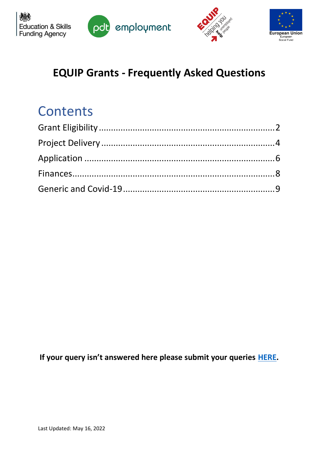





## **EQUIP Grants - Frequently Asked Questions**

# **Contents**

**If your query isn't answered here please submit your queries [HERE.](https://forms.gle/yYc4x9MBqCbRM77C8)**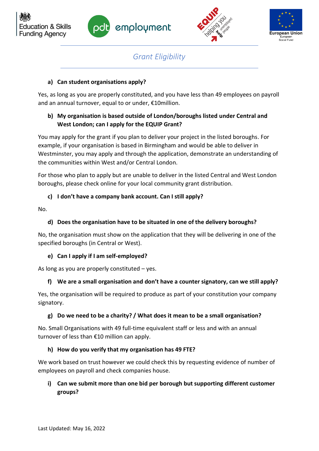





*Grant Eligibility* 

## <span id="page-1-0"></span>**a) Can student organisations apply?**

Yes, as long as you are properly constituted, and you have less than 49 employees on payroll and an annual turnover, equal to or under, €10million.

## **b) My organisation is based outside of London/boroughs listed under Central and West London; can I apply for the EQUIP Grant?**

You may apply for the grant if you plan to deliver your project in the listed boroughs. For example, if your organisation is based in Birmingham and would be able to deliver in Westminster, you may apply and through the application, demonstrate an understanding of the communities within West and/or Central London.

For those who plan to apply but are unable to deliver in the listed Central and West London boroughs, please check online for your local community grant distribution.

## **c) I don't have a company bank account. Can I still apply?**

No.

## **d) Does the organisation have to be situated in one of the delivery boroughs?**

No, the organisation must show on the application that they will be delivering in one of the specified boroughs (in Central or West).

## **e) Can I apply if I am self-employed?**

As long as you are properly constituted – yes.

## **f) We are a small organisation and don't have a counter signatory, can we still apply?**

Yes, the organisation will be required to produce as part of your constitution your company signatory.

## **g) Do we need to be a charity? / What does it mean to be a small organisation?**

No. Small Organisations with 49 full-time equivalent staff or less and with an annual turnover of less than €10 million can apply.

## **h) How do you verify that my organisation has 49 FTE?**

We work based on trust however we could check this by requesting evidence of number of employees on payroll and check companies house.

## **i) Can we submit more than one bid per borough but supporting different customer groups?**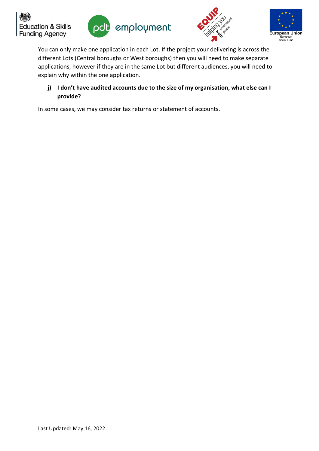





You can only make one application in each Lot. If the project your delivering is across the different Lots (Central boroughs or West boroughs) then you will need to make separate applications, however if they are in the same Lot but different audiences, you will need to explain why within the one application.

## **j) I don't have audited accounts due to the size of my organisation, what else can I provide?**

In some cases, we may consider tax returns or statement of accounts.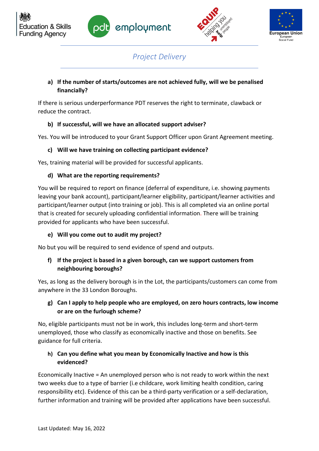





## *Project Delivery*

## <span id="page-3-0"></span>**a) If the number of starts/outcomes are not achieved fully, will we be penalised financially?**

If there is serious underperformance PDT reserves the right to terminate, clawback or reduce the contract.

## **b) If successful, will we have an allocated support adviser?**

Yes. You will be introduced to your Grant Support Officer upon Grant Agreement meeting.

## **c) Will we have training on collecting participant evidence?**

Yes, training material will be provided for successful applicants.

## **d) What are the reporting requirements?**

You will be required to report on finance (deferral of expenditure, i.e. showing payments leaving your bank account), participant/learner eligibility, participant/learner activities and participant/learner output (into training or job). This is all completed via an online portal that is created for securely uploading confidential information. There will be training provided for applicants who have been successful.

## **e) Will you come out to audit my project?**

No but you will be required to send evidence of spend and outputs.

## **f) If the project is based in a given borough, can we support customers from neighbouring boroughs?**

Yes, as long as the delivery borough is in the Lot, the participants/customers can come from anywhere in the 33 London Boroughs.

## **g) Can I apply to help people who are employed, on zero hours contracts, low income or are on the furlough scheme?**

No, eligible participants must not be in work, this includes long-term and short-term unemployed, those who classify as economically inactive and those on benefits. See guidance for full criteria.

## **h) Can you define what you mean by Economically Inactive and how is this evidenced?**

Economically Inactive = An unemployed person who is not ready to work within the next two weeks due to a type of barrier (i.e childcare, work limiting health condition, caring responsibility etc). Evidence of this can be a third-party verification or a self-declaration, further information and training will be provided after applications have been successful.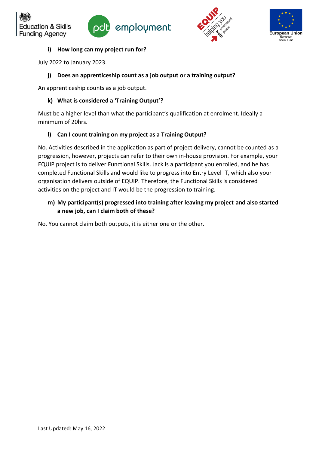





#### **i) How long can my project run for?**

July 2022 to January 2023.

**Education & Skills Funding Agency** 

#### **j) Does an apprenticeship count as a job output or a training output?**

An apprenticeship counts as a job output.

#### **k) What is considered a 'Training Output'?**

Must be a higher level than what the participant's qualification at enrolment. Ideally a minimum of 20hrs.

#### **l) Can I count training on my project as a Training Output?**

No. Activities described in the application as part of project delivery, cannot be counted as a progression, however, projects can refer to their own in-house provision. For example, your EQUIP project is to deliver Functional Skills. Jack is a participant you enrolled, and he has completed Functional Skills and would like to progress into Entry Level IT, which also your organisation delivers outside of EQUIP. Therefore, the Functional Skills is considered activities on the project and IT would be the progression to training.

### **m) My participant(s) progressed into training after leaving my project and also started a new job, can I claim both of these?**

No. You cannot claim both outputs, it is either one or the other.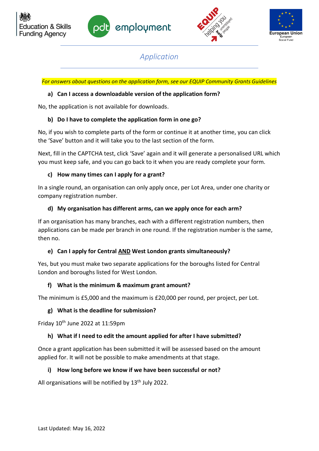





*Application*

<span id="page-5-0"></span>*For answers about questions on the application form, see our EQUIP Community Grants Guidelines*

#### **a) Can I access a downloadable version of the application form?**

No, the application is not available for downloads.

#### **b) Do I have to complete the application form in one go?**

No, if you wish to complete parts of the form or continue it at another time, you can click the 'Save' button and it will take you to the last section of the form.

Next, fill in the CAPTCHA test, click 'Save' again and it will generate a personalised URL which you must keep safe, and you can go back to it when you are ready complete your form.

#### **c) How many times can I apply for a grant?**

In a single round, an organisation can only apply once, per Lot Area, under one charity or company registration number.

#### **d) My organisation has different arms, can we apply once for each arm?**

If an organisation has many branches, each with a different registration numbers, then applications can be made per branch in one round. If the registration number is the same, then no.

## **e) Can I apply for Central AND West London grants simultaneously?**

Yes, but you must make two separate applications for the boroughs listed for Central London and boroughs listed for West London.

#### **f) What is the minimum & maximum grant amount?**

The minimum is £5,000 and the maximum is £20,000 per round, per project, per Lot.

#### **g) What is the deadline for submission?**

Friday  $10<sup>th</sup>$  June 2022 at  $11:59$ pm

#### **h) What if I need to edit the amount applied for after I have submitted?**

Once a grant application has been submitted it will be assessed based on the amount applied for. It will not be possible to make amendments at that stage.

#### **i) How long before we know if we have been successful or not?**

All organisations will be notified by 13<sup>th</sup> July 2022.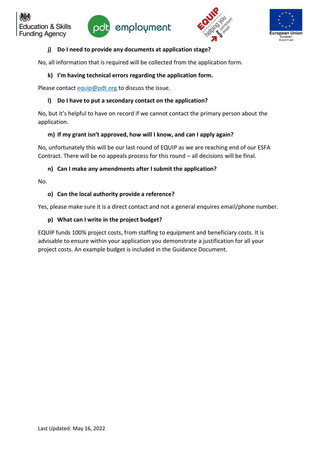







#### **j) Do I need to provide any documents at application stage?**

No, all information that is required will be collected from the application form.

#### **k) I'm having technical errors regarding the application form.**

Please contact [equip@pdt.org](mailto:equip@pdt.org) to discuss the issue.

#### **l) Do I have to put a secondary contact on the application?**

No, but it's helpful to have on record if we cannot contact the primary person about the application.

#### **m) If my grant isn't approved, how will I know, and can I apply again?**

No, unfortunately this will be our last round of EQUIP as we are reaching end of our ESFA Contract. There will be no appeals process for this round – all decisions will be final.

#### **n) Can I make any amendments after I submit the application?**

No.

#### **o) Can the local authority provide a reference?**

Yes, please make sure it is a direct contact and not a general enquires email/phone number.

#### **p) What can I write in the project budget?**

EQUIP funds 100% project costs, from staffing to equipment and beneficiary costs. It is advisable to ensure within your application you demonstrate a justification for all your project costs. An example budget is included in the Guidance Document.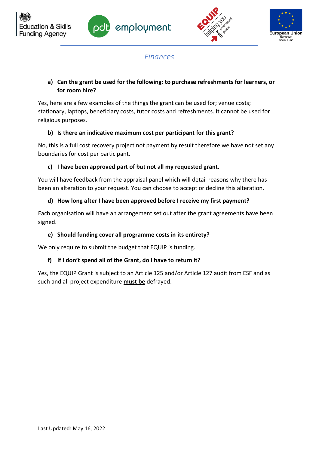





## *Finances*

## <span id="page-7-0"></span>**a) Can the grant be used for the following: to purchase refreshments for learners, or for room hire?**

Yes, here are a few examples of the things the grant can be used for; venue costs; stationary, laptops, beneficiary costs, tutor costs and refreshments. It cannot be used for religious purposes.

## **b) Is there an indicative maximum cost per participant for this grant?**

No, this is a full cost recovery project not payment by result therefore we have not set any boundaries for cost per participant.

## **c) I have been approved part of but not all my requested grant.**

You will have feedback from the appraisal panel which will detail reasons why there has been an alteration to your request. You can choose to accept or decline this alteration.

## **d) How long after I have been approved before I receive my first payment?**

Each organisation will have an arrangement set out after the grant agreements have been signed.

## **e) Should funding cover all programme costs in its entirety?**

We only require to submit the budget that EQUIP is funding.

## **f) If I don't spend all of the Grant, do I have to return it?**

Yes, the EQUIP Grant is subject to an Article 125 and/or Article 127 audit from ESF and as such and all project expenditure **must be** defrayed.